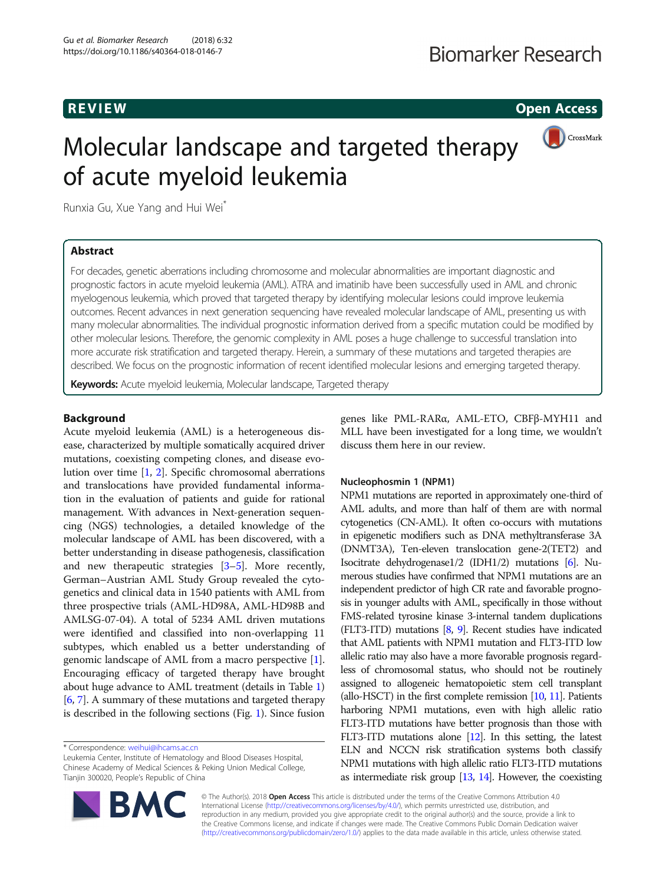**REVIEW CONSTRUCTION CONSTRUCTION CONSTRUCTS** 

# Molecular landscape and targeted therapy of acute myeloid leukemia



Runxia Gu, Xue Yang and Hui Wei\*

# Abstract

For decades, genetic aberrations including chromosome and molecular abnormalities are important diagnostic and prognostic factors in acute myeloid leukemia (AML). ATRA and imatinib have been successfully used in AML and chronic myelogenous leukemia, which proved that targeted therapy by identifying molecular lesions could improve leukemia outcomes. Recent advances in next generation sequencing have revealed molecular landscape of AML, presenting us with many molecular abnormalities. The individual prognostic information derived from a specific mutation could be modified by other molecular lesions. Therefore, the genomic complexity in AML poses a huge challenge to successful translation into more accurate risk stratification and targeted therapy. Herein, a summary of these mutations and targeted therapies are described. We focus on the prognostic information of recent identified molecular lesions and emerging targeted therapy.

Keywords: Acute myeloid leukemia, Molecular landscape, Targeted therapy

# Background

Acute myeloid leukemia (AML) is a heterogeneous disease, characterized by multiple somatically acquired driver mutations, coexisting competing clones, and disease evolution over time [\[1](#page-5-0), [2](#page-5-0)]. Specific chromosomal aberrations and translocations have provided fundamental information in the evaluation of patients and guide for rational management. With advances in Next-generation sequencing (NGS) technologies, a detailed knowledge of the molecular landscape of AML has been discovered, with a better understanding in disease pathogenesis, classification and new therapeutic strategies [\[3](#page-5-0)–[5\]](#page-5-0). More recently, German–Austrian AML Study Group revealed the cytogenetics and clinical data in 1540 patients with AML from three prospective trials (AML-HD98A, AML-HD98B and AMLSG-07-04). A total of 5234 AML driven mutations were identified and classified into non-overlapping 11 subtypes, which enabled us a better understanding of genomic landscape of AML from a macro perspective [[1](#page-5-0)]. Encouraging efficacy of targeted therapy have brought about huge advance to AML treatment (details in Table [1](#page-1-0)) [[6,](#page-5-0) [7](#page-5-0)]. A summary of these mutations and targeted therapy is described in the following sections (Fig. [1](#page-1-0)). Since fusion

\* Correspondence: [weihui@ihcams.ac.cn](mailto:weihui@ihcams.ac.cn)

Leukemia Center, Institute of Hematology and Blood Diseases Hospital, Chinese Academy of Medical Sciences & Peking Union Medical College, Tianjin 300020, People's Republic of China



# Nucleophosmin 1 (NPM1)

NPM1 mutations are reported in approximately one-third of AML adults, and more than half of them are with normal cytogenetics (CN-AML). It often co-occurs with mutations in epigenetic modifiers such as DNA methyltransferase 3A (DNMT3A), Ten-eleven translocation gene-2(TET2) and Isocitrate dehydrogenase1/2 (IDH1/2) mutations [\[6\]](#page-5-0). Numerous studies have confirmed that NPM1 mutations are an independent predictor of high CR rate and favorable prognosis in younger adults with AML, specifically in those without FMS-related tyrosine kinase 3-internal tandem duplications (FLT3-ITD) mutations [\[8,](#page-5-0) [9\]](#page-5-0). Recent studies have indicated that AML patients with NPM1 mutation and FLT3-ITD low allelic ratio may also have a more favorable prognosis regardless of chromosomal status, who should not be routinely assigned to allogeneic hematopoietic stem cell transplant (allo-HSCT) in the first complete remission  $[10, 11]$  $[10, 11]$  $[10, 11]$  $[10, 11]$ . Patients harboring NPM1 mutations, even with high allelic ratio FLT3-ITD mutations have better prognosis than those with FLT3-ITD mutations alone [\[12](#page-5-0)]. In this setting, the latest ELN and NCCN risk stratification systems both classify NPM1 mutations with high allelic ratio FLT3-ITD mutations as intermediate risk group [[13,](#page-5-0) [14](#page-5-0)]. However, the coexisting

© The Author(s). 2018 Open Access This article is distributed under the terms of the Creative Commons Attribution 4.0 International License [\(http://creativecommons.org/licenses/by/4.0/](http://creativecommons.org/licenses/by/4.0/)), which permits unrestricted use, distribution, and reproduction in any medium, provided you give appropriate credit to the original author(s) and the source, provide a link to the Creative Commons license, and indicate if changes were made. The Creative Commons Public Domain Dedication waiver [\(http://creativecommons.org/publicdomain/zero/1.0/](http://creativecommons.org/publicdomain/zero/1.0/)) applies to the data made available in this article, unless otherwise stated.

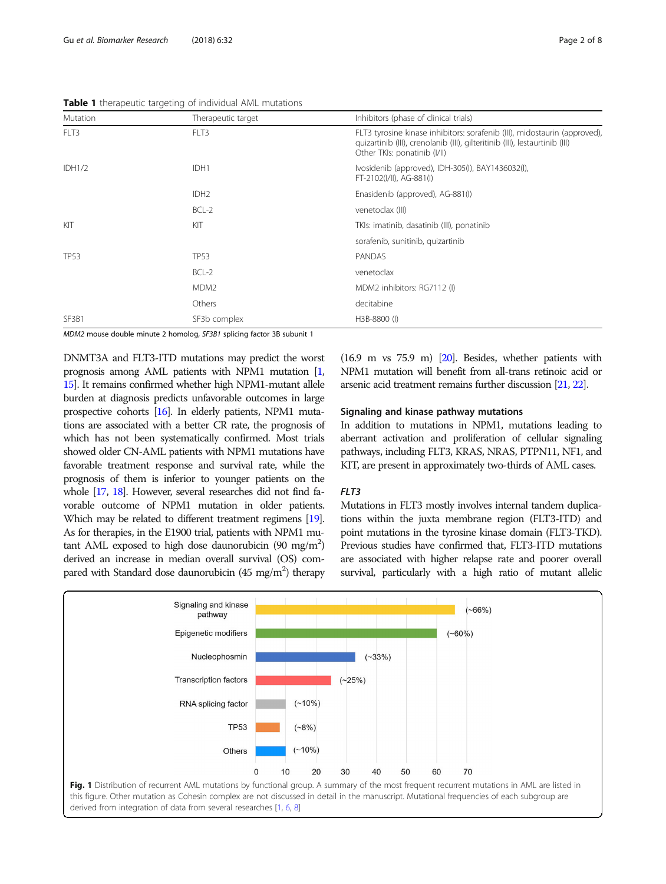<span id="page-1-0"></span>

|  |  | Table 1 therapeutic targeting of individual AML mutations |
|--|--|-----------------------------------------------------------|
|  |  |                                                           |

| Mutation      | Therapeutic target | Inhibitors (phase of clinical trials)                                                                                                                                                    |
|---------------|--------------------|------------------------------------------------------------------------------------------------------------------------------------------------------------------------------------------|
| FLT3          | FLT3               | FLT3 tyrosine kinase inhibitors: sorafenib (III), midostaurin (approved),<br>quizartinib (III), crenolanib (III), gilteritinib (III), lestaurtinib (III)<br>Other TKIs: ponatinib (I/II) |
| <b>IDH1/2</b> | IDH1               | Ivosidenib (approved), IDH-305(I), BAY1436032(I),<br>FT-2102(I/II), AG-881(I)                                                                                                            |
|               | IDH <sub>2</sub>   | Enasidenib (approved), AG-881(I)                                                                                                                                                         |
|               | $BCL-2$            | venetoclax (III)                                                                                                                                                                         |
| KIT           | KIT                | TKIs: imatinib, dasatinib (III), ponatinib                                                                                                                                               |
|               |                    | sorafenib, sunitinib, quizartinib                                                                                                                                                        |
| <b>TP53</b>   | <b>TP53</b>        | PANDAS                                                                                                                                                                                   |
|               | BCL-2              | venetoclax                                                                                                                                                                               |
|               | MDM <sub>2</sub>   | MDM2 inhibitors: RG7112 (I)                                                                                                                                                              |
|               | Others             | decitabine                                                                                                                                                                               |
| SF3B1         | SF3b complex       | H3B-8800 (I)                                                                                                                                                                             |

MDM2 mouse double minute 2 homolog, SF3B1 splicing factor 3B subunit 1

DNMT3A and FLT3-ITD mutations may predict the worst prognosis among AML patients with NPM1 mutation [\[1](#page-5-0), [15\]](#page-5-0). It remains confirmed whether high NPM1-mutant allele burden at diagnosis predicts unfavorable outcomes in large prospective cohorts [\[16\]](#page-5-0). In elderly patients, NPM1 mutations are associated with a better CR rate, the prognosis of which has not been systematically confirmed. Most trials showed older CN-AML patients with NPM1 mutations have favorable treatment response and survival rate, while the prognosis of them is inferior to younger patients on the whole [\[17](#page-5-0), [18\]](#page-5-0). However, several researches did not find favorable outcome of NPM1 mutation in older patients. Which may be related to different treatment regimens [\[19\]](#page-5-0). As for therapies, in the E1900 trial, patients with NPM1 mutant AML exposed to high dose daunorubicin (90 mg/m<sup>2</sup>) derived an increase in median overall survival (OS) compared with Standard dose daunorubicin (45 mg/m<sup>2</sup>) therapy

(16.9 m vs 75.9 m) [\[20](#page-5-0)]. Besides, whether patients with NPM1 mutation will benefit from all-trans retinoic acid or arsenic acid treatment remains further discussion [[21,](#page-5-0) [22\]](#page-5-0).

#### Signaling and kinase pathway mutations

In addition to mutations in NPM1, mutations leading to aberrant activation and proliferation of cellular signaling pathways, including FLT3, KRAS, NRAS, PTPN11, NF1, and KIT, are present in approximately two-thirds of AML cases.

# $FIT3$

Mutations in FLT3 mostly involves internal tandem duplications within the juxta membrane region (FLT3-ITD) and point mutations in the tyrosine kinase domain (FLT3-TKD). Previous studies have confirmed that, FLT3-ITD mutations are associated with higher relapse rate and poorer overall survival, particularly with a high ratio of mutant allelic



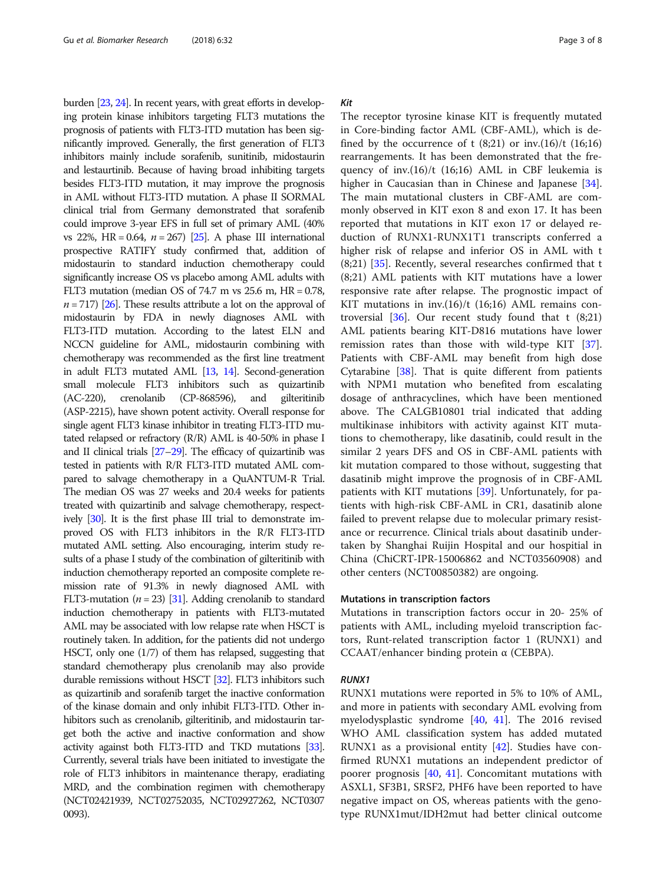burden [[23,](#page-5-0) [24](#page-5-0)]. In recent years, with great efforts in developing protein kinase inhibitors targeting FLT3 mutations the prognosis of patients with FLT3-ITD mutation has been significantly improved. Generally, the first generation of FLT3 inhibitors mainly include sorafenib, sunitinib, midostaurin and lestaurtinib. Because of having broad inhibiting targets besides FLT3-ITD mutation, it may improve the prognosis in AML without FLT3-ITD mutation. A phase II SORMAL clinical trial from Germany demonstrated that sorafenib could improve 3-year EFS in full set of primary AML (40% vs 22%, HR = 0.64,  $n = 267$  [\[25](#page-5-0)]. A phase III international prospective RATIFY study confirmed that, addition of midostaurin to standard induction chemotherapy could significantly increase OS vs placebo among AML adults with FLT3 mutation (median OS of  $74.7$  m vs  $25.6$  m,  $HR = 0.78$ ,  $n = 717$ ) [[26\]](#page-5-0). These results attribute a lot on the approval of midostaurin by FDA in newly diagnoses AML with FLT3-ITD mutation. According to the latest ELN and NCCN guideline for AML, midostaurin combining with chemotherapy was recommended as the first line treatment in adult FLT3 mutated AML [\[13,](#page-5-0) [14](#page-5-0)]. Second-generation small molecule FLT3 inhibitors such as quizartinib (AC-220), crenolanib (CP-868596), and gilteritinib (ASP-2215), have shown potent activity. Overall response for single agent FLT3 kinase inhibitor in treating FLT3-ITD mutated relapsed or refractory (R/R) AML is 40-50% in phase I and II clinical trials [\[27](#page-5-0)–[29](#page-5-0)]. The efficacy of quizartinib was tested in patients with R/R FLT3-ITD mutated AML compared to salvage chemotherapy in a QuANTUM-R Trial. The median OS was 27 weeks and 20.4 weeks for patients treated with quizartinib and salvage chemotherapy, respectively [\[30](#page-6-0)]. It is the first phase III trial to demonstrate improved OS with FLT3 inhibitors in the R/R FLT3-ITD mutated AML setting. Also encouraging, interim study results of a phase I study of the combination of gilteritinib with induction chemotherapy reported an composite complete remission rate of 91.3% in newly diagnosed AML with FLT3-mutation ( $n = 23$ ) [\[31](#page-6-0)]. Adding crenolanib to standard induction chemotherapy in patients with FLT3-mutated AML may be associated with low relapse rate when HSCT is routinely taken. In addition, for the patients did not undergo HSCT, only one (1/7) of them has relapsed, suggesting that standard chemotherapy plus crenolanib may also provide durable remissions without HSCT [\[32](#page-6-0)]. FLT3 inhibitors such as quizartinib and sorafenib target the inactive conformation of the kinase domain and only inhibit FLT3-ITD. Other inhibitors such as crenolanib, gilteritinib, and midostaurin target both the active and inactive conformation and show activity against both FLT3-ITD and TKD mutations [\[33\]](#page-6-0). Currently, several trials have been initiated to investigate the role of FLT3 inhibitors in maintenance therapy, eradiating MRD, and the combination regimen with chemotherapy (NCT02421939, NCT02752035, NCT02927262, NCT0307 0093).

#### Kit

The receptor tyrosine kinase KIT is frequently mutated in Core-binding factor AML (CBF-AML), which is defined by the occurrence of t  $(8;21)$  or inv. $(16)/t$   $(16;16)$ rearrangements. It has been demonstrated that the frequency of inv.(16)/t (16;16) AML in CBF leukemia is higher in Caucasian than in Chinese and Japanese [\[34](#page-6-0)]. The main mutational clusters in CBF-AML are commonly observed in KIT exon 8 and exon 17. It has been reported that mutations in KIT exon 17 or delayed reduction of RUNX1-RUNX1T1 transcripts conferred a higher risk of relapse and inferior OS in AML with t  $(8;21)$  [[35](#page-6-0)]. Recently, several researches confirmed that t (8;21) AML patients with KIT mutations have a lower responsive rate after relapse. The prognostic impact of KIT mutations in inv.(16)/t (16;16) AML remains controversial  $[36]$  $[36]$  $[36]$ . Our recent study found that t  $(8;21)$ AML patients bearing KIT-D816 mutations have lower remission rates than those with wild-type KIT [\[37](#page-6-0)]. Patients with CBF-AML may benefit from high dose Cytarabine  $[38]$  $[38]$  $[38]$ . That is quite different from patients with NPM1 mutation who benefited from escalating dosage of anthracyclines, which have been mentioned above. The CALGB10801 trial indicated that adding multikinase inhibitors with activity against KIT mutations to chemotherapy, like dasatinib, could result in the similar 2 years DFS and OS in CBF-AML patients with kit mutation compared to those without, suggesting that dasatinib might improve the prognosis of in CBF-AML patients with KIT mutations [\[39\]](#page-6-0). Unfortunately, for patients with high-risk CBF-AML in CR1, dasatinib alone failed to prevent relapse due to molecular primary resistance or recurrence. Clinical trials about dasatinib undertaken by Shanghai Ruijin Hospital and our hospitial in China (ChiCRT-IPR-15006862 and NCT03560908) and other centers (NCT00850382) are ongoing.

#### Mutations in transcription factors

Mutations in transcription factors occur in 20- 25% of patients with AML, including myeloid transcription factors, Runt-related transcription factor 1 (RUNX1) and CCAAT/enhancer binding protein α (CEBPA).

#### RUNX1

RUNX1 mutations were reported in 5% to 10% of AML, and more in patients with secondary AML evolving from myelodysplastic syndrome [[40,](#page-6-0) [41](#page-6-0)]. The 2016 revised WHO AML classification system has added mutated RUNX1 as a provisional entity [\[42](#page-6-0)]. Studies have confirmed RUNX1 mutations an independent predictor of poorer prognosis [[40](#page-6-0), [41](#page-6-0)]. Concomitant mutations with ASXL1, SF3B1, SRSF2, PHF6 have been reported to have negative impact on OS, whereas patients with the genotype RUNX1mut/IDH2mut had better clinical outcome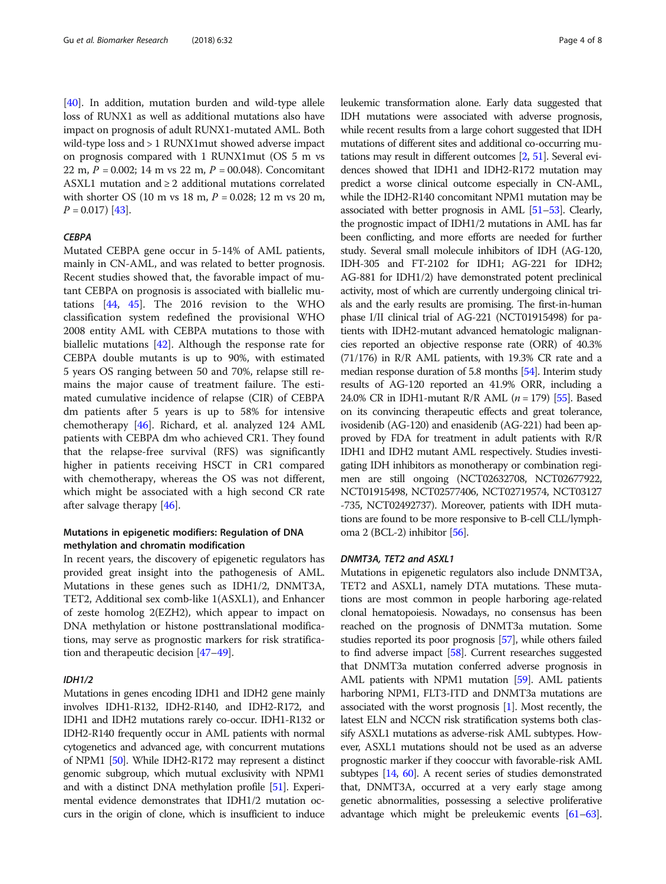[[40\]](#page-6-0). In addition, mutation burden and wild-type allele loss of RUNX1 as well as additional mutations also have impact on prognosis of adult RUNX1-mutated AML. Both wild-type loss and > 1 RUNX1mut showed adverse impact on prognosis compared with 1 RUNX1mut (OS 5 m vs 22 m,  $P = 0.002$ ; 14 m vs 22 m,  $P = 00.048$ ). Concomitant ASXL1 mutation and ≥ 2 additional mutations correlated with shorter OS (10 m vs 18 m,  $P = 0.028$ ; 12 m vs 20 m,  $P = 0.017$  [[43](#page-6-0)].

#### **CERPA**

Mutated CEBPA gene occur in 5-14% of AML patients, mainly in CN-AML, and was related to better prognosis. Recent studies showed that, the favorable impact of mutant CEBPA on prognosis is associated with biallelic mutations [\[44,](#page-6-0) [45\]](#page-6-0). The 2016 revision to the WHO classification system redefined the provisional WHO 2008 entity AML with CEBPA mutations to those with biallelic mutations [\[42](#page-6-0)]. Although the response rate for CEBPA double mutants is up to 90%, with estimated 5 years OS ranging between 50 and 70%, relapse still remains the major cause of treatment failure. The estimated cumulative incidence of relapse (CIR) of CEBPA dm patients after 5 years is up to 58% for intensive chemotherapy [[46\]](#page-6-0). Richard, et al. analyzed 124 AML patients with CEBPA dm who achieved CR1. They found that the relapse-free survival (RFS) was significantly higher in patients receiving HSCT in CR1 compared with chemotherapy, whereas the OS was not different, which might be associated with a high second CR rate after salvage therapy [\[46](#page-6-0)].

# Mutations in epigenetic modifiers: Regulation of DNA methylation and chromatin modification

In recent years, the discovery of epigenetic regulators has provided great insight into the pathogenesis of AML. Mutations in these genes such as IDH1/2, DNMT3A, TET2, Additional sex comb-like 1(ASXL1), and Enhancer of zeste homolog 2(EZH2), which appear to impact on DNA methylation or histone posttranslational modifications, may serve as prognostic markers for risk stratification and therapeutic decision [[47](#page-6-0)–[49\]](#page-6-0).

#### IDH1/2

Mutations in genes encoding IDH1 and IDH2 gene mainly involves IDH1-R132, IDH2-R140, and IDH2-R172, and IDH1 and IDH2 mutations rarely co-occur. IDH1-R132 or IDH2-R140 frequently occur in AML patients with normal cytogenetics and advanced age, with concurrent mutations of NPM1 [\[50\]](#page-6-0). While IDH2-R172 may represent a distinct genomic subgroup, which mutual exclusivity with NPM1 and with a distinct DNA methylation profile [\[51](#page-6-0)]. Experimental evidence demonstrates that IDH1/2 mutation occurs in the origin of clone, which is insufficient to induce leukemic transformation alone. Early data suggested that IDH mutations were associated with adverse prognosis, while recent results from a large cohort suggested that IDH mutations of different sites and additional co-occurring mutations may result in different outcomes [\[2,](#page-5-0) [51\]](#page-6-0). Several evidences showed that IDH1 and IDH2-R172 mutation may predict a worse clinical outcome especially in CN-AML, while the IDH2-R140 concomitant NPM1 mutation may be associated with better prognosis in AML [\[51](#page-6-0)–[53\]](#page-6-0). Clearly, the prognostic impact of IDH1/2 mutations in AML has far been conflicting, and more efforts are needed for further study. Several small molecule inhibitors of IDH (AG-120, IDH-305 and FT-2102 for IDH1; AG-221 for IDH2; AG-881 for IDH1/2) have demonstrated potent preclinical activity, most of which are currently undergoing clinical trials and the early results are promising. The first-in-human phase I/II clinical trial of AG-221 (NCT01915498) for patients with IDH2-mutant advanced hematologic malignancies reported an objective response rate (ORR) of 40.3% (71/176) in R/R AML patients, with 19.3% CR rate and a median response duration of 5.8 months [[54](#page-6-0)]. Interim study results of AG-120 reported an 41.9% ORR, including a 24.0% CR in IDH1-mutant R/R AML  $(n = 179)$  [\[55](#page-6-0)]. Based on its convincing therapeutic effects and great tolerance, ivosidenib (AG-120) and enasidenib (AG-221) had been approved by FDA for treatment in adult patients with R/R IDH1 and IDH2 mutant AML respectively. Studies investigating IDH inhibitors as monotherapy or combination regimen are still ongoing (NCT02632708, NCT02677922, NCT01915498, NCT02577406, NCT02719574, NCT03127 -735, NCT02492737). Moreover, patients with IDH mutations are found to be more responsive to B-cell CLL/lymphoma 2 (BCL-2) inhibitor [\[56](#page-6-0)].

#### DNMT3A, TET2 and ASXL1

Mutations in epigenetic regulators also include DNMT3A, TET2 and ASXL1, namely DTA mutations. These mutations are most common in people harboring age-related clonal hematopoiesis. Nowadays, no consensus has been reached on the prognosis of DNMT3a mutation. Some studies reported its poor prognosis [[57](#page-6-0)], while others failed to find adverse impact [\[58](#page-6-0)]. Current researches suggested that DNMT3a mutation conferred adverse prognosis in AML patients with NPM1 mutation [[59](#page-6-0)]. AML patients harboring NPM1, FLT3-ITD and DNMT3a mutations are associated with the worst prognosis [\[1\]](#page-5-0). Most recently, the latest ELN and NCCN risk stratification systems both classify ASXL1 mutations as adverse-risk AML subtypes. However, ASXL1 mutations should not be used as an adverse prognostic marker if they cooccur with favorable-risk AML subtypes [\[14,](#page-5-0) [60\]](#page-6-0). A recent series of studies demonstrated that, DNMT3A, occurred at a very early stage among genetic abnormalities, possessing a selective proliferative advantage which might be preleukemic events [\[61](#page-6-0)–[63](#page-6-0)].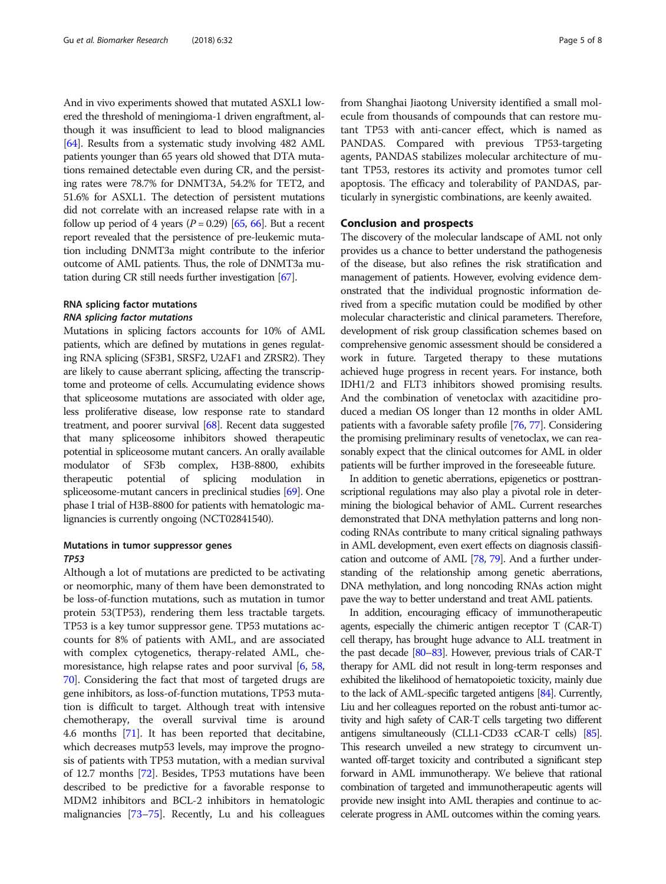And in vivo experiments showed that mutated ASXL1 lowered the threshold of meningioma-1 driven engraftment, although it was insufficient to lead to blood malignancies [[64](#page-6-0)]. Results from a systematic study involving 482 AML patients younger than 65 years old showed that DTA mutations remained detectable even during CR, and the persisting rates were 78.7% for DNMT3A, 54.2% for TET2, and 51.6% for ASXL1. The detection of persistent mutations did not correlate with an increased relapse rate with in a follow up period of 4 years  $(P = 0.29)$  [[65](#page-6-0), [66\]](#page-6-0). But a recent report revealed that the persistence of pre-leukemic mutation including DNMT3a might contribute to the inferior outcome of AML patients. Thus, the role of DNMT3a mutation during CR still needs further investigation [\[67\]](#page-7-0).

# RNA splicing factor mutations RNA splicing factor mutations

Mutations in splicing factors accounts for 10% of AML patients, which are defined by mutations in genes regulating RNA splicing (SF3B1, SRSF2, U2AF1 and ZRSR2). They are likely to cause aberrant splicing, affecting the transcriptome and proteome of cells. Accumulating evidence shows that spliceosome mutations are associated with older age, less proliferative disease, low response rate to standard treatment, and poorer survival [\[68\]](#page-7-0). Recent data suggested that many spliceosome inhibitors showed therapeutic potential in spliceosome mutant cancers. An orally available modulator of SF3b complex, H3B-8800, exhibits therapeutic potential of splicing modulation in spliceosome-mutant cancers in preclinical studies [\[69\]](#page-7-0). One phase I trial of H3B-8800 for patients with hematologic malignancies is currently ongoing (NCT02841540).

# Mutations in tumor suppressor genes TP53

Although a lot of mutations are predicted to be activating or neomorphic, many of them have been demonstrated to be loss-of-function mutations, such as mutation in tumor protein 53(TP53), rendering them less tractable targets. TP53 is a key tumor suppressor gene. TP53 mutations accounts for 8% of patients with AML, and are associated with complex cytogenetics, therapy-related AML, chemoresistance, high relapse rates and poor survival [\[6](#page-5-0), [58](#page-6-0), [70](#page-7-0)]. Considering the fact that most of targeted drugs are gene inhibitors, as loss-of-function mutations, TP53 mutation is difficult to target. Although treat with intensive chemotherapy, the overall survival time is around 4.6 months [[71](#page-7-0)]. It has been reported that decitabine, which decreases mutp53 levels, may improve the prognosis of patients with TP53 mutation, with a median survival of 12.7 months [\[72\]](#page-7-0). Besides, TP53 mutations have been described to be predictive for a favorable response to MDM2 inhibitors and BCL-2 inhibitors in hematologic malignancies [\[73](#page-7-0)–[75](#page-7-0)]. Recently, Lu and his colleagues from Shanghai Jiaotong University identified a small molecule from thousands of compounds that can restore mutant TP53 with anti-cancer effect, which is named as PANDAS. Compared with previous TP53-targeting agents, PANDAS stabilizes molecular architecture of mutant TP53, restores its activity and promotes tumor cell apoptosis. The efficacy and tolerability of PANDAS, particularly in synergistic combinations, are keenly awaited.

# Conclusion and prospects

The discovery of the molecular landscape of AML not only provides us a chance to better understand the pathogenesis of the disease, but also refines the risk stratification and management of patients. However, evolving evidence demonstrated that the individual prognostic information derived from a specific mutation could be modified by other molecular characteristic and clinical parameters. Therefore, development of risk group classification schemes based on comprehensive genomic assessment should be considered a work in future. Targeted therapy to these mutations achieved huge progress in recent years. For instance, both IDH1/2 and FLT3 inhibitors showed promising results. And the combination of venetoclax with azacitidine produced a median OS longer than 12 months in older AML patients with a favorable safety profile [\[76,](#page-7-0) [77](#page-7-0)]. Considering the promising preliminary results of venetoclax, we can reasonably expect that the clinical outcomes for AML in older patients will be further improved in the foreseeable future.

In addition to genetic aberrations, epigenetics or posttranscriptional regulations may also play a pivotal role in determining the biological behavior of AML. Current researches demonstrated that DNA methylation patterns and long noncoding RNAs contribute to many critical signaling pathways in AML development, even exert effects on diagnosis classification and outcome of AML [[78,](#page-7-0) [79](#page-7-0)]. And a further understanding of the relationship among genetic aberrations, DNA methylation, and long noncoding RNAs action might pave the way to better understand and treat AML patients.

In addition, encouraging efficacy of immunotherapeutic agents, especially the chimeric antigen receptor T (CAR-T) cell therapy, has brought huge advance to ALL treatment in the past decade [\[80](#page-7-0)–[83](#page-7-0)]. However, previous trials of CAR-T therapy for AML did not result in long-term responses and exhibited the likelihood of hematopoietic toxicity, mainly due to the lack of AML-specific targeted antigens [\[84](#page-7-0)]. Currently, Liu and her colleagues reported on the robust anti-tumor activity and high safety of CAR-T cells targeting two different antigens simultaneously (CLL1-CD33 cCAR-T cells) [\[85\]](#page-7-0). This research unveiled a new strategy to circumvent unwanted off-target toxicity and contributed a significant step forward in AML immunotherapy. We believe that rational combination of targeted and immunotherapeutic agents will provide new insight into AML therapies and continue to accelerate progress in AML outcomes within the coming years.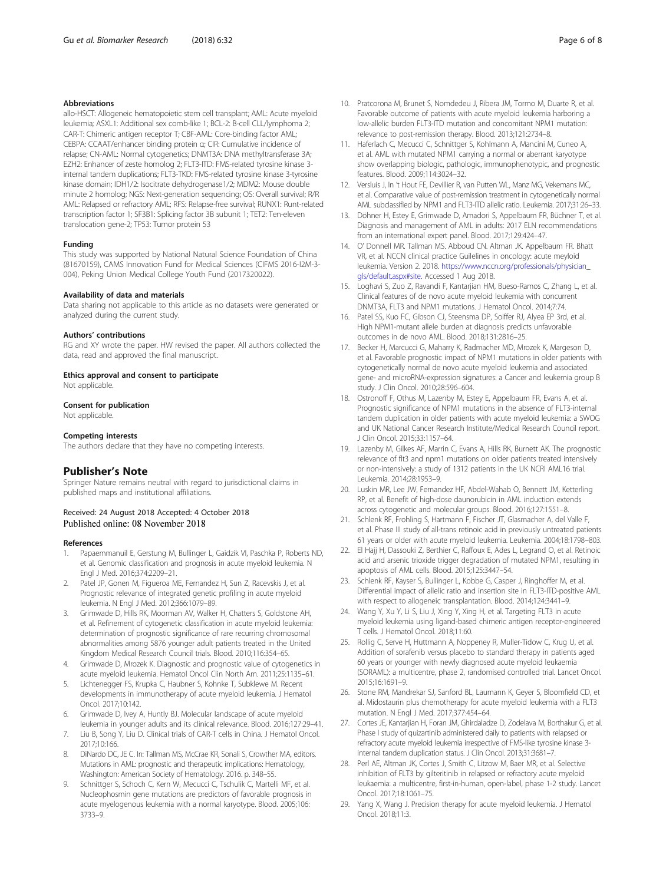#### <span id="page-5-0"></span>Abbreviations

allo-HSCT: Allogeneic hematopoietic stem cell transplant; AML: Acute myeloid leukemia; ASXL1: Additional sex comb-like 1; BCL-2: B-cell CLL/lymphoma 2; CAR-T: Chimeric antigen receptor T; CBF-AML: Core-binding factor AML; CEBPA: CCAAT/enhancer binding protein α; CIR: Cumulative incidence of relapse; CN-AML: Normal cytogenetics; DNMT3A: DNA methyltransferase 3A; EZH2: Enhancer of zeste homolog 2; FLT3-ITD: FMS-related tyrosine kinase 3 internal tandem duplications; FLT3-TKD: FMS-related tyrosine kinase 3-tyrosine kinase domain; IDH1/2: Isocitrate dehydrogenase1/2; MDM2: Mouse double minute 2 homolog; NGS: Next-generation sequencing; OS: Overall survival; R/R AML: Relapsed or refractory AML; RFS: Relapse-free survival; RUNX1: Runt-related transcription factor 1; SF3B1: Splicing factor 3B subunit 1; TET2: Ten-eleven translocation gene-2; TP53: Tumor protein 53

#### Funding

This study was supported by National Natural Science Foundation of China (81670159), CAMS Innovation Fund for Medical Sciences (CIFMS 2016-I2M-3- 004), Peking Union Medical College Youth Fund (2017320022).

#### Availability of data and materials

Data sharing not applicable to this article as no datasets were generated or analyzed during the current study.

#### Authors' contributions

RG and XY wrote the paper. HW revised the paper. All authors collected the data, read and approved the final manuscript.

#### Ethics approval and consent to participate

Not applicable.

# Consent for publication

Not applicable.

#### Competing interests

The authors declare that they have no competing interests.

# Publisher's Note

Springer Nature remains neutral with regard to jurisdictional claims in published maps and institutional affiliations.

# Received: 24 August 2018 Accepted: 4 October 2018 Published online: 08 November 2018

#### References

- Papaemmanuil E, Gerstung M, Bullinger L, Gaidzik VI, Paschka P, Roberts ND, et al. Genomic classification and prognosis in acute myeloid leukemia. N Engl J Med. 2016;374:2209–21.
- Patel JP, Gonen M, Figueroa ME, Fernandez H, Sun Z, Racevskis J, et al. Prognostic relevance of integrated genetic profiling in acute myeloid leukemia. N Engl J Med. 2012;366:1079–89.
- 3. Grimwade D, Hills RK, Moorman AV, Walker H, Chatters S, Goldstone AH, et al. Refinement of cytogenetic classification in acute myeloid leukemia: determination of prognostic significance of rare recurring chromosomal abnormalities among 5876 younger adult patients treated in the United Kingdom Medical Research Council trials. Blood. 2010;116:354–65.
- Grimwade D, Mrozek K. Diagnostic and prognostic value of cytogenetics in acute myeloid leukemia. Hematol Oncol Clin North Am. 2011;25:1135–61.
- 5. Lichtenegger FS, Krupka C, Haubner S, Kohnke T, Subklewe M. Recent developments in immunotherapy of acute myeloid leukemia. J Hematol Oncol. 2017;10:142.
- 6. Grimwade D, Ivey A, Huntly BJ. Molecular landscape of acute myeloid leukemia in younger adults and its clinical relevance. Blood. 2016;127:29–41.
- 7. Liu B, Song Y, Liu D. Clinical trials of CAR-T cells in China. J Hematol Oncol. 2017;10:166.
- 8. DiNardo DC, JE C. In: Tallman MS, McCrae KR, Sonali S, Crowther MA, editors. Mutations in AML: prognostic and therapeutic implications: Hematology, Washington: American Society of Hematology. 2016. p. 348–55.
- 9. Schnittger S, Schoch C, Kern W, Mecucci C, Tschulik C, Martelli MF, et al. Nucleophosmin gene mutations are predictors of favorable prognosis in acute myelogenous leukemia with a normal karyotype. Blood. 2005;106: 3733–9.
- 10. Pratcorona M, Brunet S, Nomdedeu J, Ribera JM, Tormo M, Duarte R, et al. Favorable outcome of patients with acute myeloid leukemia harboring a low-allelic burden FLT3-ITD mutation and concomitant NPM1 mutation: relevance to post-remission therapy. Blood. 2013;121:2734–8.
- 11. Haferlach C, Mecucci C, Schnittger S, Kohlmann A, Mancini M, Cuneo A, et al. AML with mutated NPM1 carrying a normal or aberrant karyotype show overlapping biologic, pathologic, immunophenotypic, and prognostic features. Blood. 2009;114:3024–32.
- 12. Versluis J, In 't Hout FE, Devillier R, van Putten WL, Manz MG, Vekemans MC, et al. Comparative value of post-remission treatment in cytogenetically normal AML subclassified by NPM1 and FLT3-ITD allelic ratio. Leukemia. 2017;31:26–33.
- 13. Döhner H, Estey E, Grimwade D, Amadori S, Appelbaum FR, Büchner T, et al. Diagnosis and management of AML in adults: 2017 ELN recommendations from an international expert panel. Blood. 2017;129:424–47.
- 14. O' Donnell MR. Tallman MS. Abboud CN. Altman JK. Appelbaum FR. Bhatt VR, et al. NCCN clinical practice Guilelines in oncology: acute meyloid leukemia. Version 2. 2018. [https://www.nccn.org/professionals/physician\\_](https://www.nccn.org/professionals/physician_gls/default.aspx#site) [gls/default.aspx#site.](https://www.nccn.org/professionals/physician_gls/default.aspx#site) Accessed 1 Aug 2018.
- 15. Loghavi S, Zuo Z, Ravandi F, Kantarjian HM, Bueso-Ramos C, Zhang L, et al. Clinical features of de novo acute myeloid leukemia with concurrent DNMT3A, FLT3 and NPM1 mutations. J Hematol Oncol. 2014;7:74.
- 16. Patel SS, Kuo FC, Gibson CJ, Steensma DP, Soiffer RJ, Alyea EP 3rd, et al. High NPM1-mutant allele burden at diagnosis predicts unfavorable outcomes in de novo AML. Blood. 2018;131:2816–25.
- 17. Becker H, Marcucci G, Maharry K, Radmacher MD, Mrozek K, Margeson D, et al. Favorable prognostic impact of NPM1 mutations in older patients with cytogenetically normal de novo acute myeloid leukemia and associated gene- and microRNA-expression signatures: a Cancer and leukemia group B study. J Clin Oncol. 2010;28:596–604.
- 18. Ostronoff F, Othus M, Lazenby M, Estey E, Appelbaum FR, Evans A, et al. Prognostic significance of NPM1 mutations in the absence of FLT3-internal tandem duplication in older patients with acute myeloid leukemia: a SWOG and UK National Cancer Research Institute/Medical Research Council report. J Clin Oncol. 2015;33:1157–64.
- 19. Lazenby M, Gilkes AF, Marrin C, Evans A, Hills RK, Burnett AK. The prognostic relevance of flt3 and npm1 mutations on older patients treated intensively or non-intensively: a study of 1312 patients in the UK NCRI AML16 trial. Leukemia. 2014;28:1953–9.
- 20. Luskin MR, Lee JW, Fernandez HF, Abdel-Wahab O, Bennett JM, Ketterling RP, et al. Benefit of high-dose daunorubicin in AML induction extends across cytogenetic and molecular groups. Blood. 2016;127:1551–8.
- 21. Schlenk RF, Frohling S, Hartmann F, Fischer JT, Glasmacher A, del Valle F, et al. Phase III study of all-trans retinoic acid in previously untreated patients 61 years or older with acute myeloid leukemia. Leukemia. 2004;18:1798–803.
- 22. El Hajj H, Dassouki Z, Berthier C, Raffoux E, Ades L, Legrand O, et al. Retinoic acid and arsenic trioxide trigger degradation of mutated NPM1, resulting in apoptosis of AML cells. Blood. 2015;125:3447–54.
- 23. Schlenk RF, Kayser S, Bullinger L, Kobbe G, Casper J, Ringhoffer M, et al. Differential impact of allelic ratio and insertion site in FLT3-ITD-positive AML with respect to allogeneic transplantation. Blood. 2014;124:3441–9.
- 24. Wang Y, Xu Y, Li S, Liu J, Xing Y, Xing H, et al. Targeting FLT3 in acute myeloid leukemia using ligand-based chimeric antigen receptor-engineered T cells. J Hematol Oncol. 2018;11:60.
- 25. Rollig C, Serve H, Huttmann A, Noppeney R, Muller-Tidow C, Krug U, et al. Addition of sorafenib versus placebo to standard therapy in patients aged 60 years or younger with newly diagnosed acute myeloid leukaemia (SORAML): a multicentre, phase 2, randomised controlled trial. Lancet Oncol. 2015;16:1691–9.
- 26. Stone RM, Mandrekar SJ, Sanford BL, Laumann K, Geyer S, Bloomfield CD, et al. Midostaurin plus chemotherapy for acute myeloid leukemia with a FLT3 mutation. N Engl J Med. 2017;377:454–64.
- 27. Cortes JE, Kantarjian H, Foran JM, Ghirdaladze D, Zodelava M, Borthakur G, et al. Phase I study of quizartinib administered daily to patients with relapsed or refractory acute myeloid leukemia irrespective of FMS-like tyrosine kinase 3 internal tandem duplication status. J Clin Oncol. 2013;31:3681–7.
- 28. Perl AE, Altman JK, Cortes J, Smith C, Litzow M, Baer MR, et al. Selective inhibition of FLT3 by gilteritinib in relapsed or refractory acute myeloid leukaemia: a multicentre, first-in-human, open-label, phase 1-2 study. Lancet Oncol. 2017;18:1061–75.
- 29. Yang X, Wang J. Precision therapy for acute myeloid leukemia. J Hematol Oncol. 2018;11:3.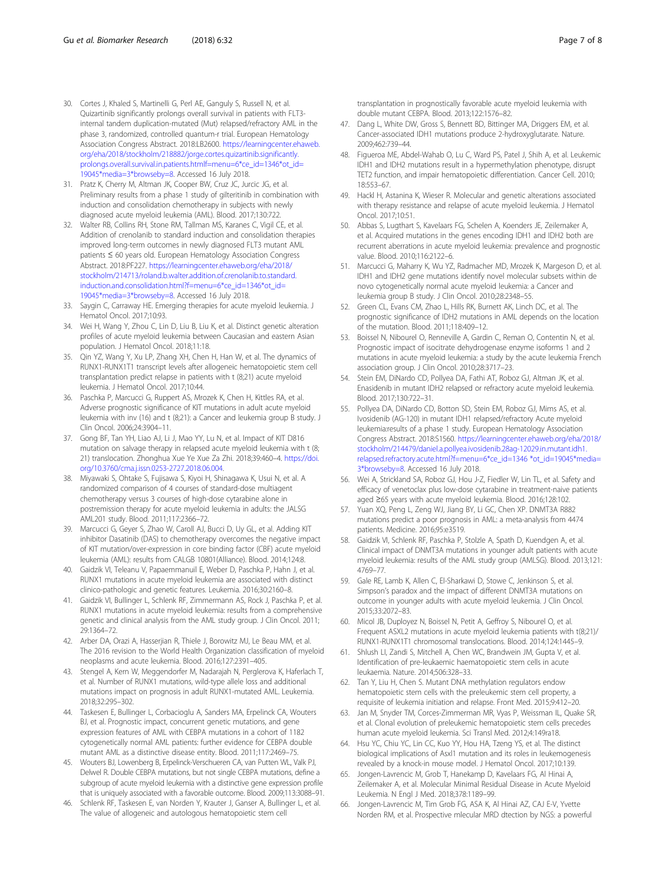- <span id="page-6-0"></span>30. Cortes J, Khaled S, Martinelli G, Perl AE, Ganguly S, Russell N, et al. Quizartinib significantly prolongs overall survival in patients with FLT3 internal tandem duplication-mutated (Mut) relapsed/refractory AML in the phase 3, randomized, controlled quantum-r trial. European Hematology Association Congress Abstract. 2018:LB2600. [https://learningcenter.ehaweb.](https://learningcenter.ehaweb.org/eha/2018/stockholm/218882/jorge.cortes.quizartinib.significantly.prolongs.overall.survival.in.patients.htmlf=menu=6*ce_id=1346*ot_id=19045*media=3*browseby=8) [org/eha/2018/stockholm/218882/jorge.cortes.quizartinib.significantly.](https://learningcenter.ehaweb.org/eha/2018/stockholm/218882/jorge.cortes.quizartinib.significantly.prolongs.overall.survival.in.patients.htmlf=menu=6*ce_id=1346*ot_id=19045*media=3*browseby=8) [prolongs.overall.survival.in.patients.htmlf=menu=6\\*ce\\_id=1346\\*ot\\_id=](https://learningcenter.ehaweb.org/eha/2018/stockholm/218882/jorge.cortes.quizartinib.significantly.prolongs.overall.survival.in.patients.htmlf=menu=6*ce_id=1346*ot_id=19045*media=3*browseby=8) [19045\\*media=3\\*browseby=8](https://learningcenter.ehaweb.org/eha/2018/stockholm/218882/jorge.cortes.quizartinib.significantly.prolongs.overall.survival.in.patients.htmlf=menu=6*ce_id=1346*ot_id=19045*media=3*browseby=8). Accessed 16 July 2018.
- 31. Pratz K, Cherry M, Altman JK, Cooper BW, Cruz JC, Jurcic JG, et al. Preliminary results from a phase 1 study of gilteritinib in combination with induction and consolidation chemotherapy in subjects with newly diagnosed acute myeloid leukemia (AML). Blood. 2017;130:722.
- 32. Walter RB, Collins RH, Stone RM, Tallman MS, Karanes C, Vigil CE, et al. Addition of crenolanib to standard induction and consolidation therapies improved long-term outcomes in newly diagnosed FLT3 mutant AML patients ≤ 60 years old. European Hematology Association Congress Abstract. 2018:PF227. [https://learningcenter.ehaweb.org/eha/2018/](https://learningcenter.ehaweb.org/eha/2018/stockholm/214713/roland.b.walter.addition.of.crenolanib.to.standard.induction.and.consolidation.html?f=menu=6*ce_id=1346*ot_id=19045*media=3*browseby=8) [stockholm/214713/roland.b.walter.addition.of.crenolanib.to.standard.](https://learningcenter.ehaweb.org/eha/2018/stockholm/214713/roland.b.walter.addition.of.crenolanib.to.standard.induction.and.consolidation.html?f=menu=6*ce_id=1346*ot_id=19045*media=3*browseby=8) [induction.and.consolidation.html?f=menu=6\\*ce\\_id=1346\\*ot\\_id=](https://learningcenter.ehaweb.org/eha/2018/stockholm/214713/roland.b.walter.addition.of.crenolanib.to.standard.induction.and.consolidation.html?f=menu=6*ce_id=1346*ot_id=19045*media=3*browseby=8) [19045\\*media=3\\*browseby=8](https://learningcenter.ehaweb.org/eha/2018/stockholm/214713/roland.b.walter.addition.of.crenolanib.to.standard.induction.and.consolidation.html?f=menu=6*ce_id=1346*ot_id=19045*media=3*browseby=8). Accessed 16 July 2018.
- 33. Saygin C, Carraway HE. Emerging therapies for acute myeloid leukemia. J Hematol Oncol. 2017;10:93.
- 34. Wei H, Wang Y, Zhou C, Lin D, Liu B, Liu K, et al. Distinct genetic alteration profiles of acute myeloid leukemia between Caucasian and eastern Asian population. J Hematol Oncol. 2018;11:18.
- 35. Qin YZ, Wang Y, Xu LP, Zhang XH, Chen H, Han W, et al. The dynamics of RUNX1-RUNX1T1 transcript levels after allogeneic hematopoietic stem cell transplantation predict relapse in patients with t (8;21) acute myeloid leukemia. J Hematol Oncol. 2017;10:44.
- 36. Paschka P, Marcucci G, Ruppert AS, Mrozek K, Chen H, Kittles RA, et al. Adverse prognostic significance of KIT mutations in adult acute myeloid leukemia with inv (16) and t (8;21): a Cancer and leukemia group B study. J Clin Oncol. 2006;24:3904–11.
- 37. Gong BF, Tan YH, Liao AJ, Li J, Mao YY, Lu N, et al. Impact of KIT D816 mutation on salvage therapy in relapsed acute myeloid leukemia with t (8; 21) translocation. Zhonghua Xue Ye Xue Za Zhi. 2018;39:460–4. [https://doi.](https://doi.org/10.3760/cma.j.issn.0253-2727.2018.06.004) [org/10.3760/cma.j.issn.0253-2727.2018.06.004](https://doi.org/10.3760/cma.j.issn.0253-2727.2018.06.004).
- 38. Miyawaki S, Ohtake S, Fujisawa S, Kiyoi H, Shinagawa K, Usui N, et al. A randomized comparison of 4 courses of standard-dose multiagent chemotherapy versus 3 courses of high-dose cytarabine alone in postremission therapy for acute myeloid leukemia in adults: the JALSG AML201 study. Blood. 2011;117:2366–72.
- 39. Marcucci G, Geyer S, Zhao W, Caroll AJ, Bucci D, Uy GL, et al. Adding KIT inhibitor Dasatinib (DAS) to chemotherapy overcomes the negative impact of KIT mutation/over-expression in core binding factor (CBF) acute myeloid leukemia (AML): results from CALGB 10801(Alliance). Blood. 2014;124:8.
- 40. Gaidzik VI, Teleanu V, Papaemmanuil E, Weber D, Paschka P, Hahn J, et al. RUNX1 mutations in acute myeloid leukemia are associated with distinct clinico-pathologic and genetic features. Leukemia. 2016;30:2160–8.
- 41. Gaidzik VI, Bullinger L, Schlenk RF, Zimmermann AS, Rock J, Paschka P, et al. RUNX1 mutations in acute myeloid leukemia: results from a comprehensive genetic and clinical analysis from the AML study group. J Clin Oncol. 2011; 29:1364–72.
- 42. Arber DA, Orazi A, Hasserjian R, Thiele J, Borowitz MJ, Le Beau MM, et al. The 2016 revision to the World Health Organization classification of myeloid neoplasms and acute leukemia. Blood. 2016;127:2391–405.
- 43. Stengel A, Kern W, Meggendorfer M, Nadarajah N, Perglerova K, Haferlach T, et al. Number of RUNX1 mutations, wild-type allele loss and additional mutations impact on prognosis in adult RUNX1-mutated AML. Leukemia. 2018;32:295–302.
- 44. Taskesen E, Bullinger L, Corbacioglu A, Sanders MA, Erpelinck CA, Wouters BJ, et al. Prognostic impact, concurrent genetic mutations, and gene expression features of AML with CEBPA mutations in a cohort of 1182 cytogenetically normal AML patients: further evidence for CEBPA double mutant AML as a distinctive disease entity. Blood. 2011;117:2469–75.
- 45. Wouters BJ, Lowenberg B, Erpelinck-Verschueren CA, van Putten WL, Valk PJ, Delwel R. Double CEBPA mutations, but not single CEBPA mutations, define a subgroup of acute myeloid leukemia with a distinctive gene expression profile that is uniquely associated with a favorable outcome. Blood. 2009;113:3088–91.
- 46. Schlenk RF, Taskesen E, van Norden Y, Krauter J, Ganser A, Bullinger L, et al. The value of allogeneic and autologous hematopoietic stem cell

transplantation in prognostically favorable acute myeloid leukemia with double mutant CEBPA. Blood. 2013;122:1576–82.

- 47. Dang L, White DW, Gross S, Bennett BD, Bittinger MA, Driggers EM, et al. Cancer-associated IDH1 mutations produce 2-hydroxyglutarate. Nature. 2009;462:739–44.
- 48. Figueroa ME, Abdel-Wahab O, Lu C, Ward PS, Patel J, Shih A, et al. Leukemic IDH1 and IDH2 mutations result in a hypermethylation phenotype, disrupt TET2 function, and impair hematopoietic differentiation. Cancer Cell. 2010; 18:553–67.
- 49. Hackl H, Astanina K, Wieser R. Molecular and genetic alterations associated with therapy resistance and relapse of acute myeloid leukemia. J Hematol Oncol. 2017;10:51.
- 50. Abbas S, Lugthart S, Kavelaars FG, Schelen A, Koenders JE, Zeilemaker A, et al. Acquired mutations in the genes encoding IDH1 and IDH2 both are recurrent aberrations in acute myeloid leukemia: prevalence and prognostic value. Blood. 2010;116:2122–6.
- 51. Marcucci G, Maharry K, Wu YZ, Radmacher MD, Mrozek K, Margeson D, et al. IDH1 and IDH2 gene mutations identify novel molecular subsets within de novo cytogenetically normal acute myeloid leukemia: a Cancer and leukemia group B study. J Clin Oncol. 2010;28:2348–55.
- 52. Green CL, Evans CM, Zhao L, Hills RK, Burnett AK, Linch DC, et al. The prognostic significance of IDH2 mutations in AML depends on the location of the mutation. Blood. 2011;118:409–12.
- 53. Boissel N, Nibourel O, Renneville A, Gardin C, Reman O, Contentin N, et al. Prognostic impact of isocitrate dehydrogenase enzyme isoforms 1 and 2 mutations in acute myeloid leukemia: a study by the acute leukemia French association group. J Clin Oncol. 2010;28:3717–23.
- 54. Stein EM, DiNardo CD, Pollyea DA, Fathi AT, Roboz GJ, Altman JK, et al. Enasidenib in mutant IDH2 relapsed or refractory acute myeloid leukemia. Blood. 2017;130:722–31.
- 55. Pollyea DA, DiNardo CD, Botton SD, Stein EM, Roboz GJ, Mims AS, et al. Ivosidenib (AG-120) in mutant IDH1 relapsed/refractory Acute myeloid leukemia:results of a phase 1 study. European Hematology Association Congress Abstract. 2018:S1560. [https://learningcenter.ehaweb.org/eha/2018/](https://learningcenter.ehaweb.org/eha/2018/stockholm/214479/daniel.a.pollyea.ivosidenib.28ag-12029.in.mutant.idh1.relapsed.refractory.acute.html?f=menu=6*ce_id=1346*ot_id=19045*media=3*browseby=8) [stockholm/214479/daniel.a.pollyea.ivosidenib.28ag-12029.in.mutant.idh1.](https://learningcenter.ehaweb.org/eha/2018/stockholm/214479/daniel.a.pollyea.ivosidenib.28ag-12029.in.mutant.idh1.relapsed.refractory.acute.html?f=menu=6*ce_id=1346*ot_id=19045*media=3*browseby=8) [relapsed.refractory.acute.html?f=menu=6\\*ce\\_id=1346 \\*ot\\_id=19045\\*media=](https://learningcenter.ehaweb.org/eha/2018/stockholm/214479/daniel.a.pollyea.ivosidenib.28ag-12029.in.mutant.idh1.relapsed.refractory.acute.html?f=menu=6*ce_id=1346*ot_id=19045*media=3*browseby=8) [3\\*browseby=8](https://learningcenter.ehaweb.org/eha/2018/stockholm/214479/daniel.a.pollyea.ivosidenib.28ag-12029.in.mutant.idh1.relapsed.refractory.acute.html?f=menu=6*ce_id=1346*ot_id=19045*media=3*browseby=8). Accessed 16 July 2018.
- 56. Wei A, Strickland SA, Roboz GJ, Hou J-Z, Fiedler W, Lin TL, et al. Safety and efficacy of venetoclax plus low-dose cytarabine in treatment-naive patients aged ≥65 years with acute myeloid leukemia. Blood. 2016;128:102.
- 57. Yuan XQ, Peng L, Zeng WJ, Jiang BY, Li GC, Chen XP. DNMT3A R882 mutations predict a poor prognosis in AML: a meta-analysis from 4474 patients. Medicine. 2016;95:e3519.
- 58. Gaidzik VI, Schlenk RF, Paschka P, Stolzle A, Spath D, Kuendgen A, et al. Clinical impact of DNMT3A mutations in younger adult patients with acute myeloid leukemia: results of the AML study group (AMLSG). Blood. 2013;121: 4769–77.
- 59. Gale RE, Lamb K, Allen C, El-Sharkawi D, Stowe C, Jenkinson S, et al. Simpson's paradox and the impact of different DNMT3A mutations on outcome in younger adults with acute myeloid leukemia. J Clin Oncol. 2015;33:2072–83.
- 60. Micol JB, Duployez N, Boissel N, Petit A, Geffroy S, Nibourel O, et al. Frequent ASXL2 mutations in acute myeloid leukemia patients with t(8;21)/ RUNX1-RUNX1T1 chromosomal translocations. Blood. 2014;124:1445–9.
- 61. Shlush LI, Zandi S, Mitchell A, Chen WC, Brandwein JM, Gupta V, et al. Identification of pre-leukaemic haematopoietic stem cells in acute leukaemia. Nature. 2014;506:328–33.
- 62. Tan Y, Liu H, Chen S. Mutant DNA methylation regulators endow hematopoietic stem cells with the preleukemic stem cell property, a requisite of leukemia initiation and relapse. Front Med. 2015;9:412–20.
- 63. Jan M, Snyder TM, Corces-Zimmerman MR, Vyas P, Weissman IL, Quake SR, et al. Clonal evolution of preleukemic hematopoietic stem cells precedes human acute myeloid leukemia. Sci Transl Med. 2012;4:149ra18.
- 64. Hsu YC, Chiu YC, Lin CC, Kuo YY, Hou HA, Tzeng YS, et al. The distinct biological implications of Asxl1 mutation and its roles in leukemogenesis revealed by a knock-in mouse model. J Hematol Oncol. 2017;10:139.
- 65. Jongen-Lavrencic M, Grob T, Hanekamp D, Kavelaars FG, Al Hinai A, Zeilemaker A, et al. Molecular Minimal Residual Disease in Acute Myeloid Leukemia. N Engl J Med. 2018;378:1189–99.
- 66. Jongen-Lavrencic M, Tim Grob FG, ASA K, Al Hinai AZ, CAJ E-V, Yvette Norden RM, et al. Prospective mlecular MRD dtection by NGS: a powerful